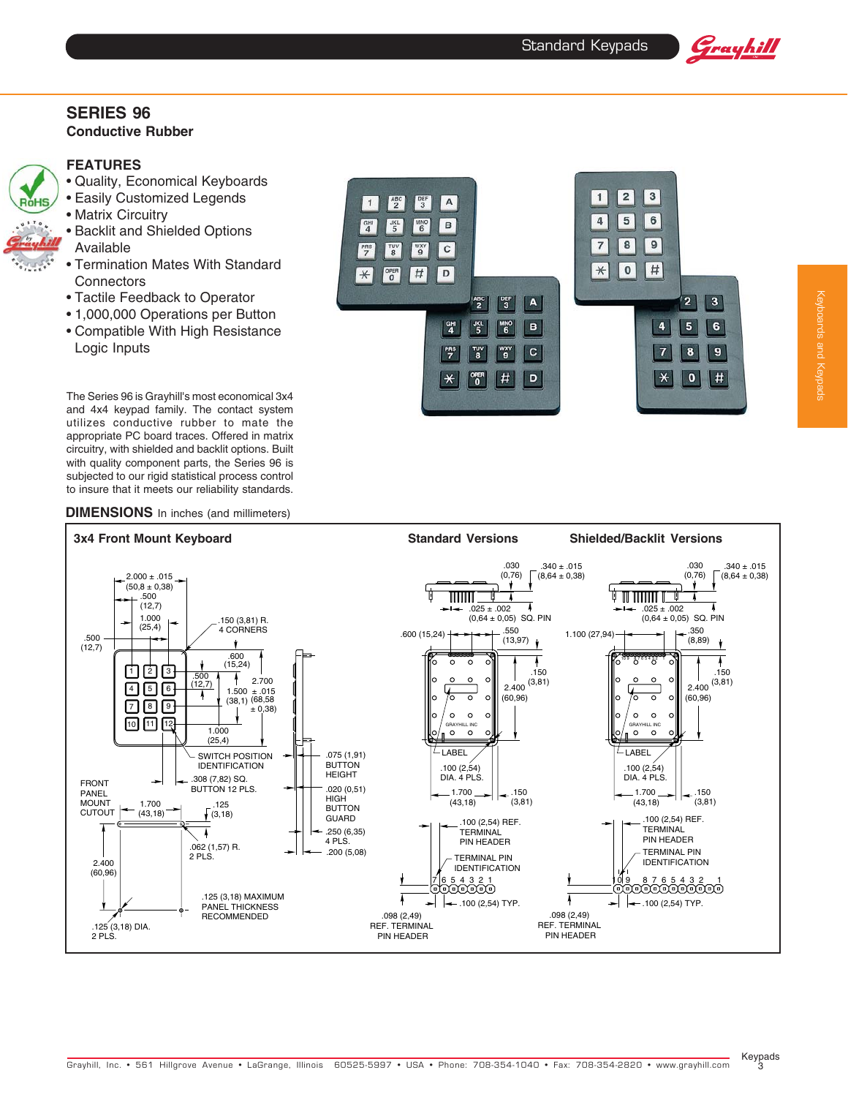$\overline{1}$  $\overline{\mathbf{2}}$  $\sqrt{3}$ 

 $\overline{4}$ 

 $\overline{\mathbf{7}}$  $\bf{8}$ 

 $\overline{5}$  $6$ 

 $\overline{9}$ 

# **SERIES 96**

# **Conductive Rubber**

# **FEATURES**

RóHS

2 PLS.

- Quality, Economical Keyboards
- Easily Customized Legends • Matrix Circuitry
- Backlit and Shielded Options Available
- Termination Mates With Standard **Connectors**
- Tactile Feedback to Operator
- 1,000,000 Operations per Button
- Compatible With High Resistance Logic Inputs

The Series 96 is Grayhill's most economical 3x4 and 4x4 keypad family. The contact system utilizes conductive rubber to mate the appropriate PC board traces. Offered in matrix circuitry, with shielded and backlit options. Built with quality component parts, the Series 96 is subjected to our rigid statistical process control to insure that it meets our reliability standards.

# **DIMENSIONS** In inches (and millimeters)



 $\frac{ABC}{2}$  $\frac{DEF}{3}$ A

 $rac{JKL}{5}$  $\begin{bmatrix} MNO \\ 6 \end{bmatrix}$ B

 $1$ 

 $\frac{GHI}{4}$ 

 $\frac{PRS}{7}$  $\frac{1}{3}$  $\frac{WXY}{9}$  $\mathbf{C}$ 



PIN HEADER

PIN HEADER

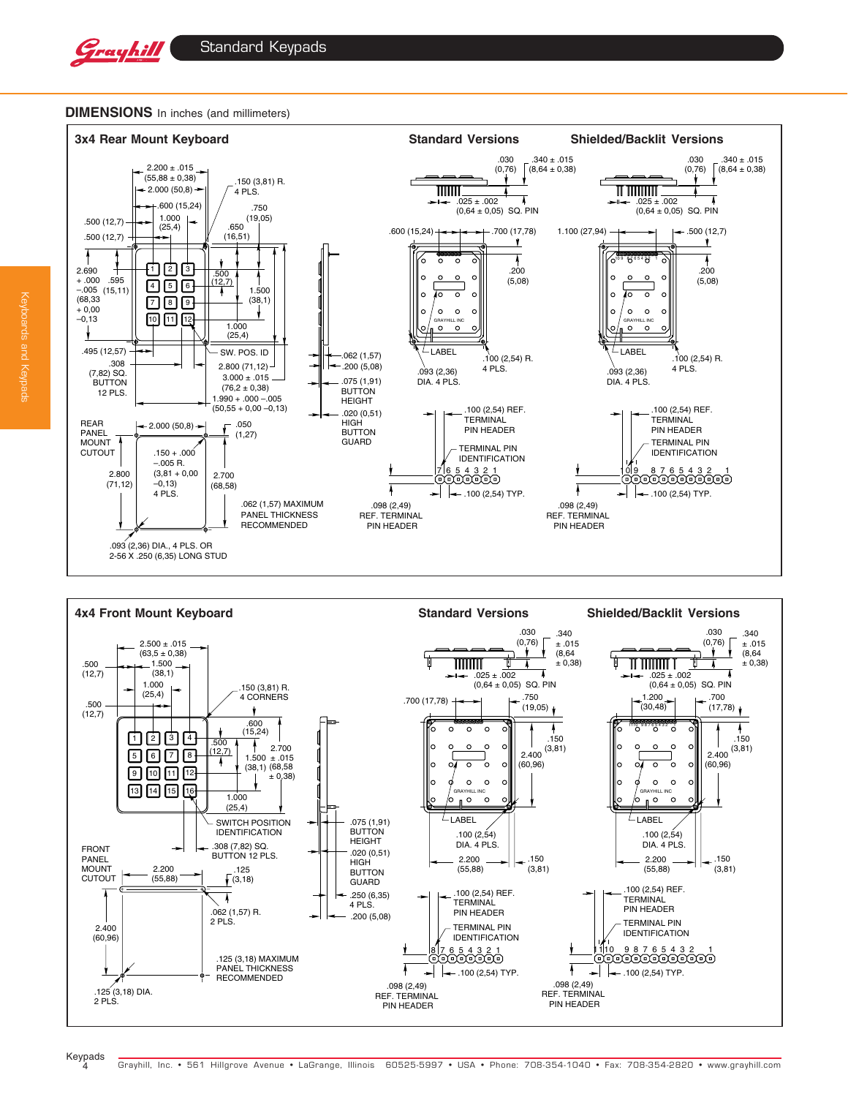



### **DIMENSIONS** In inches (and millimeters)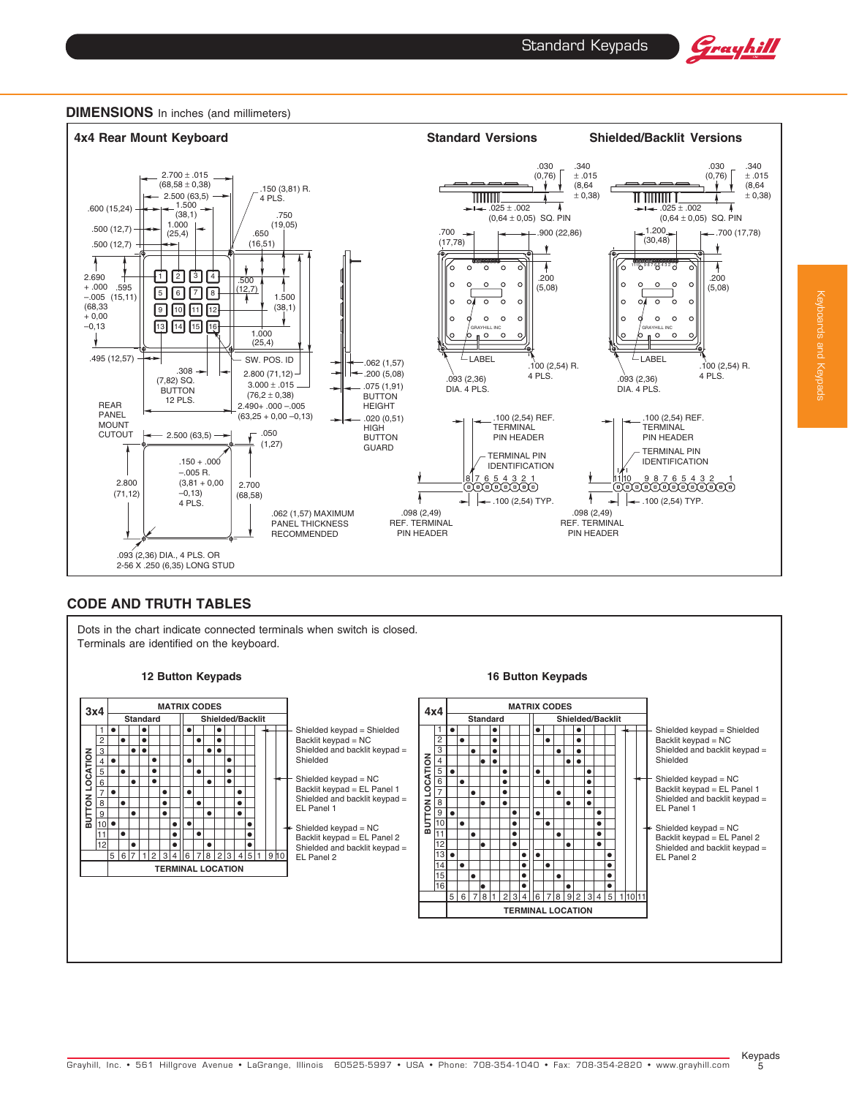





## **CODE AND TRUTH TABLES**

Dots in the chart indicate connected terminals when switch is closed. Terminals are identified on the keyboard.





•

• •

 $\bullet \bullet$ 

 $\bullet$ •

> • • • • •

•

•

•

•

 $\overline{\phantom{a}}\bullet$ 

•

<del>•</del>ा ।

•

•

• •  $\bullet$ 

• • • •



Backlit keypad = EL Panel 1 Shielded and backlit keypad = EL Panel 1

Shielded keypad = NC Backlit keypad = EL Panel 2 Shielded and backlit keypad = EL Panel 2